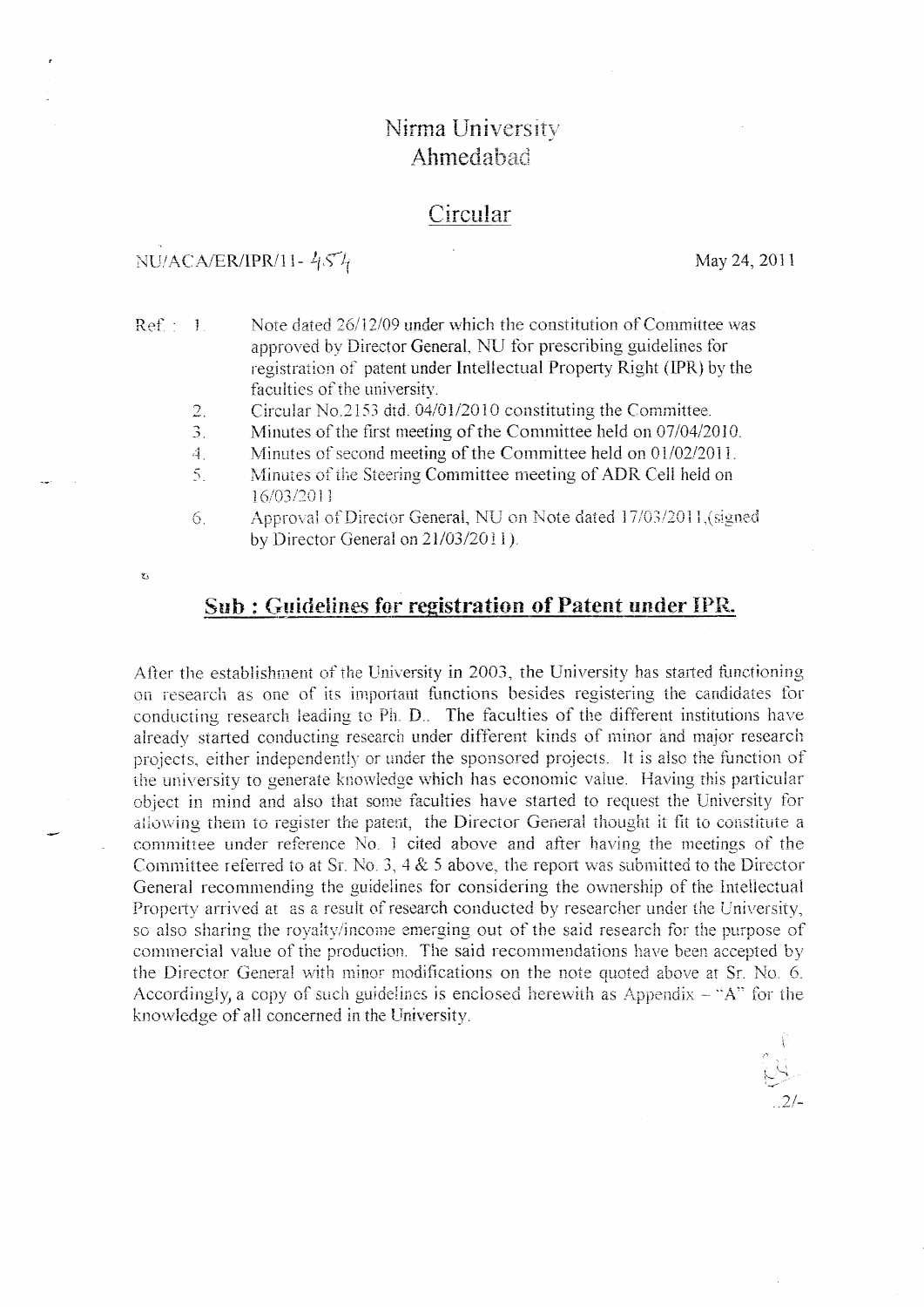# Nirma University Ahmedabad

## Circular

## NU/ACA/ER/IPR/11- $454$

 $\bar{\mathbf{z}}_i$ 

May 24, 2011

 $2/2$ 

| Ref.: 1. |             | Note dated 26/12/09 under which the constitution of Committee was                                         |
|----------|-------------|-----------------------------------------------------------------------------------------------------------|
|          |             | approved by Director General, NU for prescribing guidelines for                                           |
|          |             | registration of patent under Intellectual Property Right (IPR) by the                                     |
|          |             | faculties of the university.                                                                              |
|          | 2.          | Circular No.2153 dtd. 04/01/2010 constituting the Committee.                                              |
|          | 3.          | Minutes of the first meeting of the Committee held on 07/04/2010.                                         |
|          | $4_{\odot}$ | Minutes of second meeting of the Committee held on 01/02/2011.                                            |
|          | $5_{\odot}$ | Minutes of the Steering Committee meeting of ADR Cell held on<br>16/03/2011                               |
|          | 6.          | Approval of Director General, NU on Note dated 17/03/2011, (signed<br>by Director General on 21/03/2011). |
|          |             |                                                                                                           |

Sub: Guidelines for registration of Patent under IPR.

After the establishment of the University in 2003, the University has started functioning on research as one of its important functions besides registering the candidates for conducting research leading to Ph. D. The faculties of the different institutions have already started conducting research under different kinds of minor and major research projects, either independently or under the sponsored projects. It is also the function of the university to generate knowledge which has economic value. Having this particular object in mind and also that some faculties have started to request the University for allowing them to register the patent, the Director General thought it fit to constitute a committee under reference No. 1 cited above and after having the meetings of the Committee referred to at Sr. No. 3, 4 & 5 above, the report was submitted to the Director General recommending the guidelines for considering the ownership of the Intellectual Property arrived at as a result of research conducted by researcher under the University, so also sharing the royalty/income emerging out of the said research for the purpose of commercial value of the production. The said recommendations have been accepted by the Director General with minor modifications on the note quoted above at Sr. No. 6. Accordingly, a copy of such guidelines is enclosed herewith as Appendix  $-$  "A" for the knowledge of all concerned in the University.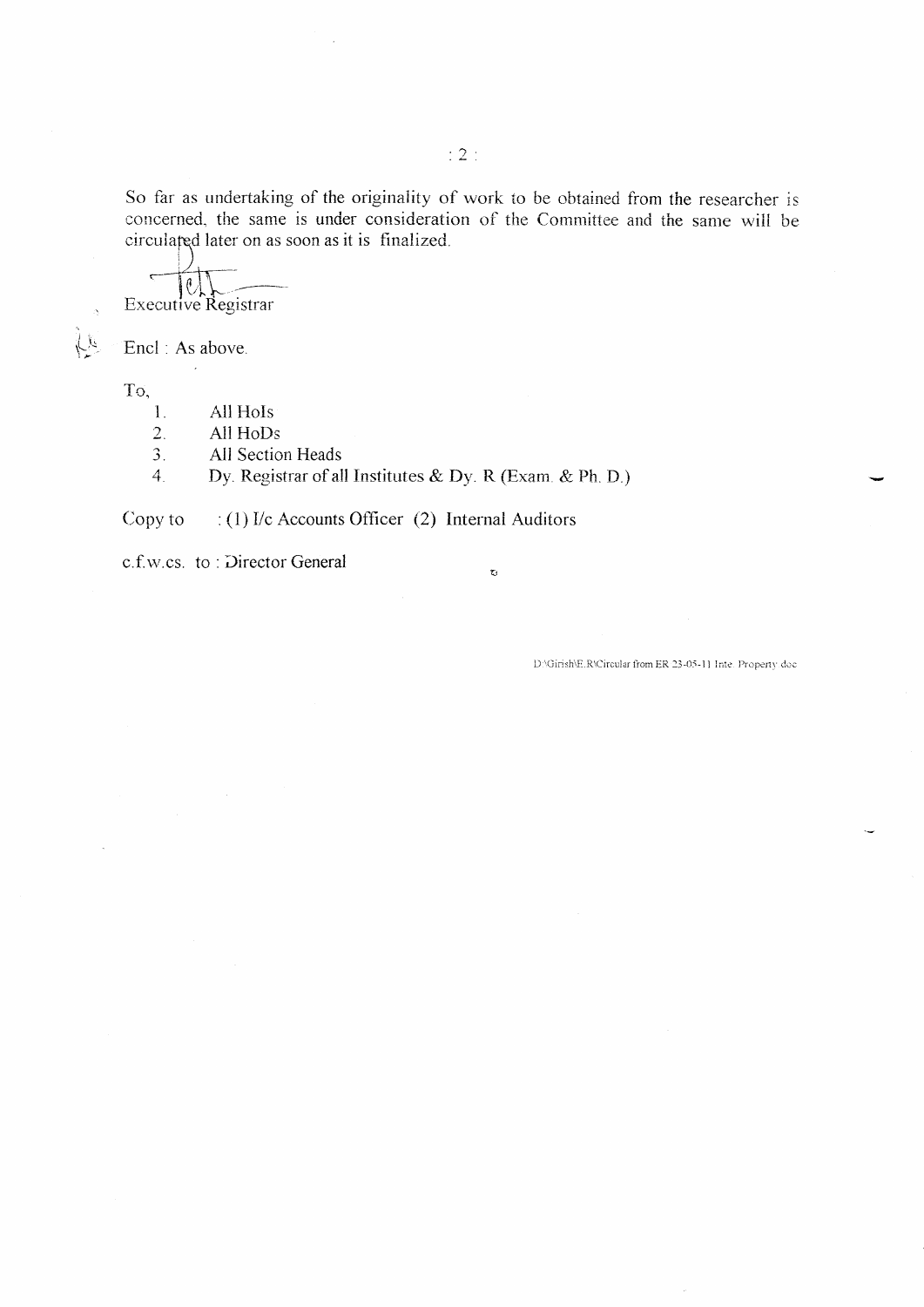So far as undertaking of the originality of work to be obtained from the researcher is concerned, the same is under consideration of the Committee and the same will be circulated later on as soon as it is finalized.

 $\tilde{\mathbf{C}}$ 

 $\ell$ Executive Registrar

Encl: As above.

To,

位

- All HoIs 1.
- $\overline{2}$ . All HoDs
- $3.$ All Section Heads

Dy. Registrar of all Institutes & Dy. R (Exam. & Ph. D.)  $4.$ 

: (1) I/c Accounts Officer (2) Internal Auditors Copy to

c.f.w.cs. to: Director General

D:\Girish\E.R\Circular from ER:23-05-11 Inte. Property.doc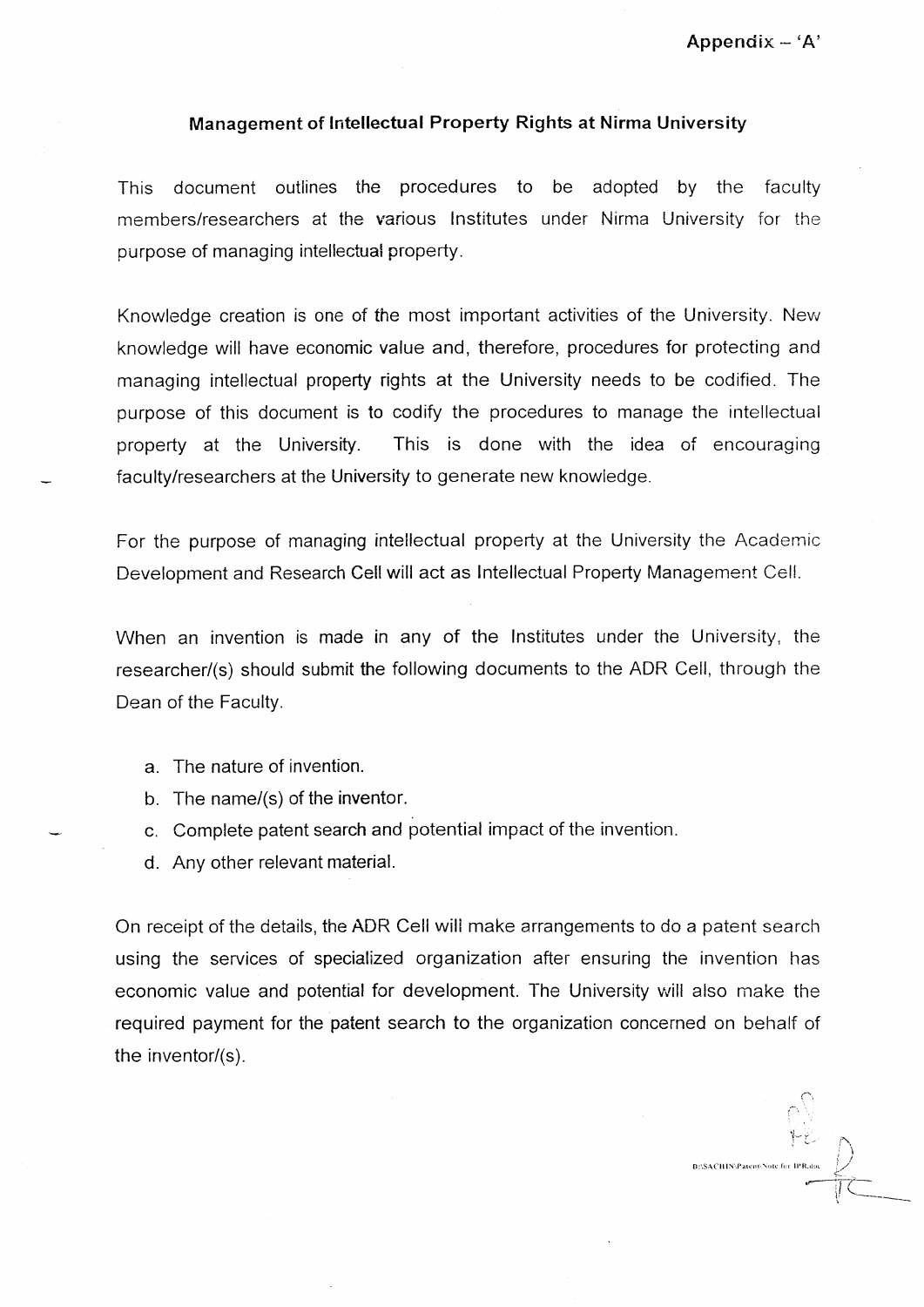#### Management of Intellectual Property Rights at Nirma University

This document outlines the procedures to be adopted by the faculty members/researchers at the various Institutes under Nirma University for the purpose of managing intellectual property.

Knowledge creation is one of the most important activities of the University. New knowledge will have economic value and, therefore, procedures for protecting and managing intellectual property rights at the University needs to be codified. The purpose of this document is to codify the procedures to manage the intellectual property at the University. This is done with the idea of encouraging faculty/researchers at the University to generate new knowledge.

For the purpose of managing intellectual property at the University the Academic Development and Research Cell will act as Intellectual Property Management Cell.

When an invention is made in any of the Institutes under the University, the researcher/(s) should submit the following documents to the ADR Cell, through the Dean of the Faculty.

- a. The nature of invention.
- b. The name/(s) of the inventor.
- c. Compiete patent search and potential impact of the invention.
- d. Any other relevant material.

On receipt of the details, the ADR Cell wili make arrangements to do a patent search using the services of specialized organization after ensuring the invention has economic value and potential for development. The University will also make the required payment for the patent search to the organization concerned on behalf of the inventor/ $(s)$ .

r:\SACHIN\Patent\Note for IPR.doc  $\overline{\mathcal{F}}$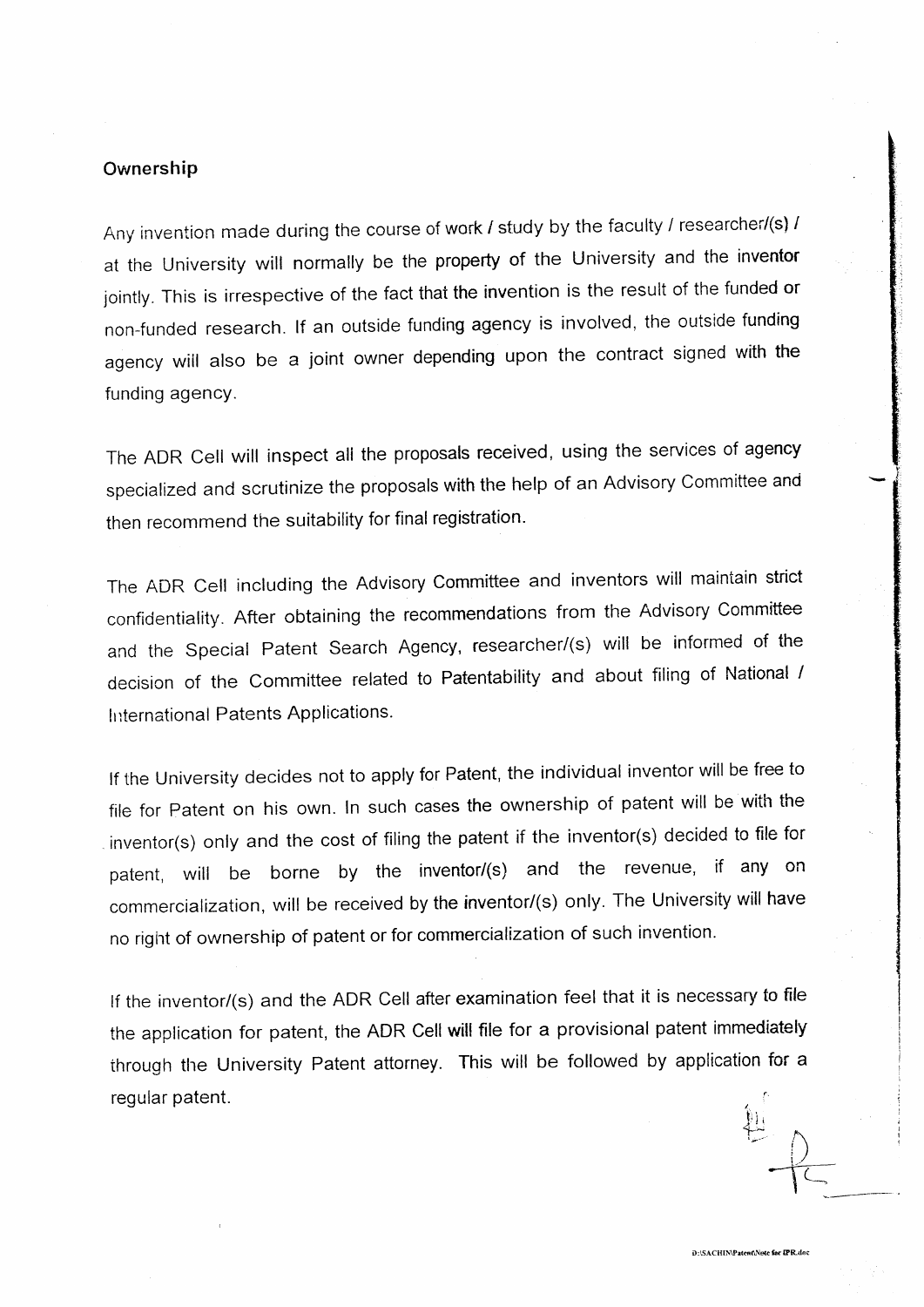#### Ownership

Any invention made during the course of work  $I$  study by the faculty  $I$  researcher/(s)  $I$ at the University will normally be the property of the University and the inventor jointly. This is irrespective of the fact that the invention is the result of the funded or non-funded research. lf an outside funding agency is involved, the outside funding agency wiil also be a joint owner depending upon the contract signed with the funding agency.

The ADR Cell will inspect ali the proposals received, using the services of agency specialized and scrutinize the proposals with the help of an Advisory Committee and then recommend the suitability for final registration.

The ADR Cell including the Advisory Committee and inventors will mainiain strict confidentiality. After obtaining the recommendations from the Advisory Committee and the Special Patent Search Agency, researcher/(s) will be informed of the decision of the Committee related to Patentability and about filing of National / International Patents Applications.

lf the University decides not to apply for Patent, the individual inventor will be free to file for patent on his own. In such cases the ownership of patent will be with the inventor(s) only and the cost of filing the patent if the inventor(s) decided to file for patent, will be borne by the inventor/(s) and the revenue, if any on commercialization, will be received by the inventor/(s) only. The University will have no right of ownership of patent or for commercialization of such invention.

lf the inventor/(s) and the ADR Cell after examination feel that it is necessary to file the application for patent, the ADR Cell will file for a provisional patent immediately through the University Patent attorney. This will be followed by application for a regular patent.  $\mathbf{A}$ i  $\frac{1}{2}$ 

I:i

 $\subset$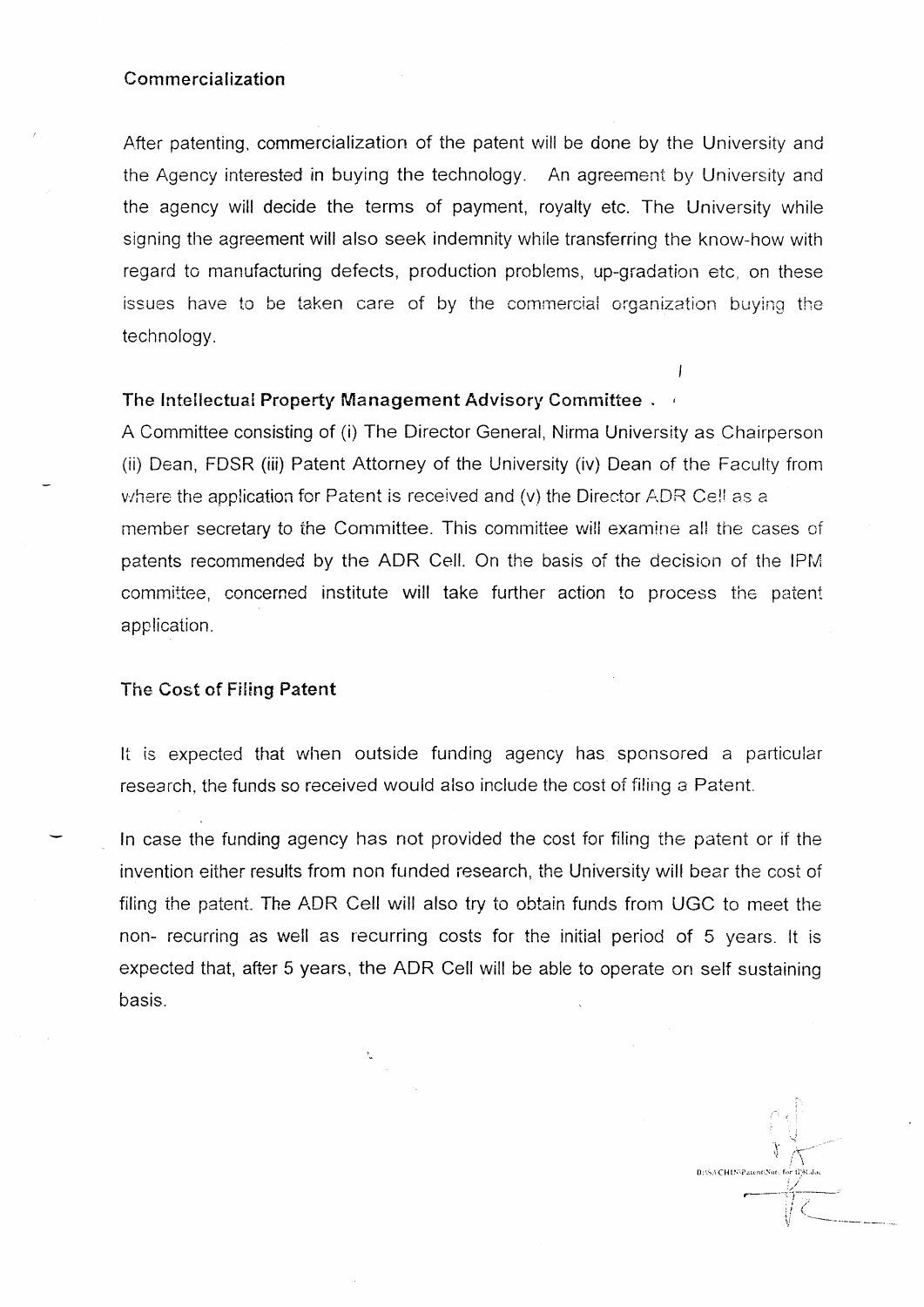#### Commercialization

After patenting, commercialization of the patent will be done by the University and the Agency interested in buying the technology. An agreement by University and the agency will decide the terms of payment, royalty etc. The University while signing the agreement will also seek indemnity while transferring the know-how with regard to manufacturing defects, production problems, up-gradation etc, on these issues have to be taken care of by the commercial organization buying the technology.

 $\overline{1}$ 

### The Intellectual Property Management Advisory Committee.

A Committee consisting of (i) The Director General, Nirma University as Chairperson (ii) Dean, FDSR (iii) Patent Attorney of the University (iv) Dean of the Faculty from where the application for Patent is received and (v) the Director ADR Cell as a member secretary to the Committee. This committee will examine all the cases of patents recommended by the ADR Cell. On the basis of the decision of the IPM committee, concerned institute will take further action to process the patent application.

#### The Cost of Filing Patent

It is expected that when outside funding agency has sponsored a particular research, the funds so received would also include the cost of filing a Patent.

In case the funding agency has not provided the cost for filing the patent or if the invention either results from non funded research, the University will bear the cost of filing the patent. The ADR Cell will also try to obtain funds from UGC to meet the non- recurring as well as recurring costs for the initial period of 5 years. It is expected that, after 5 years, the ADR Cell will be able to operate on self sustaining basis.

D:\SACHIN\Patent\